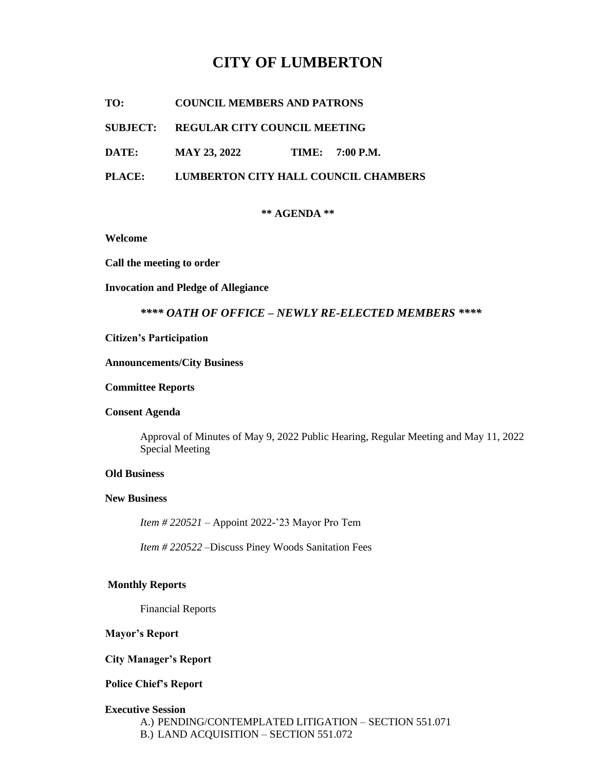# **CITY OF LUMBERTON**

**TO: COUNCIL MEMBERS AND PATRONS**

## **SUBJECT: REGULAR CITY COUNCIL MEETING**

**DATE:** MAY 23, 2022 **TIME:** 7:00 P.M.

**PLACE: LUMBERTON CITY HALL COUNCIL CHAMBERS**

#### **\*\* AGENDA \*\***

**Welcome**

**Call the meeting to order**

#### **Invocation and Pledge of Allegiance**

# *\*\*\*\* OATH OF OFFICE – NEWLY RE-ELECTED MEMBERS \*\*\*\**

#### **Citizen's Participation**

#### **Announcements/City Business**

#### **Committee Reports**

# **Consent Agenda**

Approval of Minutes of May 9, 2022 Public Hearing, Regular Meeting and May 11, 2022 Special Meeting

#### **Old Business**

# **New Business**

*Item # 220521* – Appoint 2022-'23 Mayor Pro Tem

*Item # 220522 –*Discuss Piney Woods Sanitation Fees

## **Monthly Reports**

Financial Reports

## **Mayor's Report**

## **City Manager's Report**

## **Police Chief's Report**

#### **Executive Session**

A.) PENDING/CONTEMPLATED LITIGATION – SECTION 551.071 B.) LAND ACQUISITION – SECTION 551.072